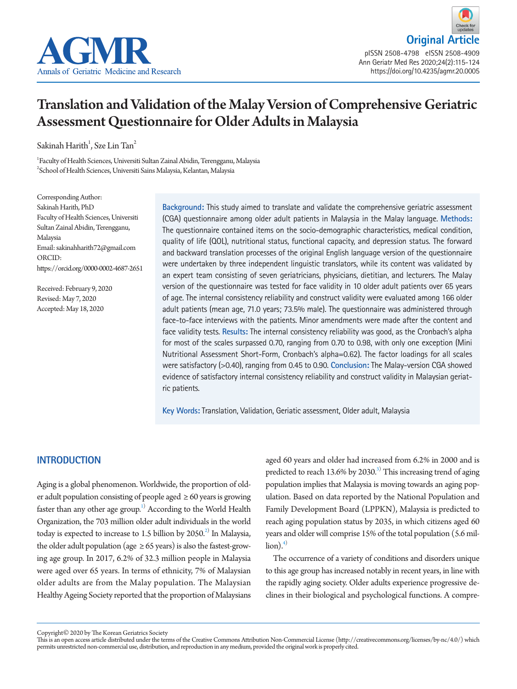



# Translation and Validation of the Malay Version of Comprehensive Geriatric Assessment Questionnaire for Older Adults in Malaysia

Sakinah Harith<sup>1</sup>, Sze Lin Tan<sup>2</sup>

1 Faculty of Health Sciences, Universiti Sultan Zainal Abidin, Terengganu, Malaysia  $^{2}$ School of Health Sciences, Universiti Sains Malaysia, Kelantan, Malaysia

Corresponding Author: Sakinah Harith, PhD Faculty of Health Sciences, Universiti Sultan Zainal Abidin, Terengganu, Malaysia Email: sakinahharith72@gmail.com ORCID: https://orcid.org/0000-0002-4687-2651

Received: February 9, 2020 Revised: May 7, 2020 Accepted: May 18, 2020

**Background:** This study aimed to translate and validate the comprehensive geriatric assessment (CGA) questionnaire among older adult patients in Malaysia in the Malay language. **Methods:**  The questionnaire contained items on the socio-demographic characteristics, medical condition, quality of life (QOL), nutritional status, functional capacity, and depression status. The forward and backward translation processes of the original English language version of the questionnaire were undertaken by three independent linguistic translators, while its content was validated by an expert team consisting of seven geriatricians, physicians, dietitian, and lecturers. The Malay version of the questionnaire was tested for face validity in 10 older adult patients over 65 years of age. The internal consistency reliability and construct validity were evaluated among 166 older adult patients (mean age, 71.0 years; 73.5% male). The questionnaire was administered through face-to-face interviews with the patients. Minor amendments were made after the content and face validity tests. **Results:** The internal consistency reliability was good, as the Cronbach's alpha for most of the scales surpassed 0.70, ranging from 0.70 to 0.98, with only one exception (Mini Nutritional Assessment Short-Form, Cronbach's alpha=0.62). The factor loadings for all scales were satisfactory (>0.40), ranging from 0.45 to 0.90. **Conclusion:** The Malay-version CGA showed evidence of satisfactory internal consistency reliability and construct validity in Malaysian geriatric patients.

**Key Words:** Translation, Validation, Geriatic assessment, Older adult, Malaysia

## **INTRODUCTION**

Aging is a global phenomenon. Worldwide, the proportion of older adult population consisting of people aged  $\geq 60$  years is growing faster than any other age group. $^{1)}$  According to the World Health Organization, the 703 million older adult individuals in the world today is expected to increase to 1.5 billion by 2050. $^2$  In Malaysia, the older adult population (age  $\geq$  65 years) is also the fastest-growing age group. In 2017, 6.2% of 32.3 million people in Malaysia were aged over 65 years. In terms of ethnicity, 7% of Malaysian older adults are from the Malay population. The Malaysian Healthy Ageing Society reported that the proportion of Malaysians

aged 60 years and older had increased from 6.2% in 2000 and is predicted to reach 13.6% by 2030.<sup>3)</sup> This increasing trend of aging population implies that Malaysia is moving towards an aging population. Based on data reported by the National Population and Family Development Board (LPPKN), Malaysia is predicted to reach aging population status by 2035, in which citizens aged 60 years and older will comprise 15% of the total population (5.6 mil- $\{$ lion $\}$ <sup>4 $)$ </sup>

The occurrence of a variety of conditions and disorders unique to this age group has increased notably in recent years, in line with the rapidly aging society. Older adults experience progressive declines in their biological and psychological functions. A compre-

Copyright© 2020 by The Korean Geriatrics Society

This is an open access article distributed under the terms of the Creative Commons Attribution Non-Commercial License (http://creativecommons.org/licenses/by-nc/4.0/) which permits unrestricted non-commercial use, distribution, and reproduction in any medium, provided the original work is properly cited.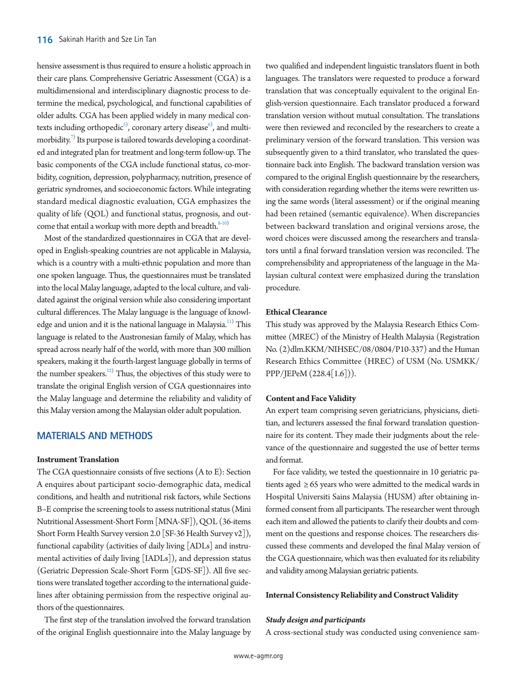hensive assessment is thus required to ensure a holistic approach in their care plans. Comprehensive Geriatric Assessment (CGA) is a multidimensional and interdisciplinary diagnostic process to determine the medical, psychological, and functional capabilities of older adults. CGA has been applied widely in many medical contexts including orthopedic $^{\circ}$ , coronary artery disease $^{\circ}$ , and multimorbidity. $^{7)}$  Its purpose is tailored towards developing a coordinated and integrated plan for treatment and long-term follow-up. The basic components of the CGA include functional status, co-morbidity, cognition, depression, polypharmacy, nutrition, presence of geriatric syndromes, and socioeconomic factors. While integrating standard medical diagnostic evaluation, CGA emphasizes the quality of life (QOL) and functional status, prognosis, and outcome that entail a workup with more depth and breadth. $8-10$  $8-10$ 

Most of the standardized questionnaires in CGA that are developed in English-speaking countries are not applicable in Malaysia, which is a country with a multi-ethnic population and more than one spoken language. Thus, the questionnaires must be translated into the local Malay language, adapted to the local culture, and validated against the original version while also considering important cultural differences. The Malay language is the language of knowledge and union and it is the national language in Malaysia.<sup>11)</sup> This language is related to the Austronesian family of Malay, which has spread across nearly half of the world, with more than 300 million speakers, making it the fourth-largest language globally in terms of the number speakers.<sup>12)</sup> Thus, the objectives of this study were to translate the original English version of CGA questionnaires into the Malay language and determine the reliability and validity of this Malay version among the Malaysian older adult population.

# **MATERIALS AND METHODS**

### **Instrument Translation**

The CGA questionnaire consists of five sections (A to E): Section A enquires about participant socio-demographic data, medical conditions, and health and nutritional risk factors, while Sections B–E comprise the screening tools to assess nutritional status (Mini Nutritional Assessment-Short Form [MNA-SF]), QOL (36-items Short Form Health Survey version 2.0 [SF-36 Health Survey v2]), functional capability (activities of daily living [ADLs] and instrumental activities of daily living [IADLs]), and depression status (Geriatric Depression Scale-Short Form [GDS-SF]). All five sections were translated together according to the international guidelines after obtaining permission from the respective original authors of the questionnaires.

The first step of the translation involved the forward translation of the original English questionnaire into the Malay language by two qualified and independent linguistic translators fluent in both languages. The translators were requested to produce a forward translation that was conceptually equivalent to the original English-version questionnaire. Each translator produced a forward translation version without mutual consultation. The translations were then reviewed and reconciled by the researchers to create a preliminary version of the forward translation. This version was subsequently given to a third translator, who translated the questionnaire back into English. The backward translation version was compared to the original English questionnaire by the researchers, with consideration regarding whether the items were rewritten using the same words (literal assessment) or if the original meaning had been retained (semantic equivalence). When discrepancies between backward translation and original versions arose, the word choices were discussed among the researchers and translators until a final forward translation version was reconciled. The comprehensibility and appropriateness of the language in the Malaysian cultural context were emphasized during the translation procedure.

#### **Ethical Clearance**

This study was approved by the Malaysia Research Ethics Committee (MREC) of the Ministry of Health Malaysia (Registration No. (2)dlm.KKM/NIHSEC/08/0804/P10-337) and the Human Research Ethics Committee (HREC) of USM (No. USMKK/ PPP/JEPeM (228.4[1.6])).

#### **Content and Face Validity**

An expert team comprising seven geriatricians, physicians, dietitian, and lecturers assessed the final forward translation questionnaire for its content. They made their judgments about the relevance of the questionnaire and suggested the use of better terms and format.

For face validity, we tested the questionnaire in 10 geriatric patients aged ≥ 65 years who were admitted to the medical wards in Hospital Universiti Sains Malaysia (HUSM) after obtaining informed consent from all participants. The researcher went through each item and allowed the patients to clarify their doubts and comment on the questions and response choices. The researchers discussed these comments and developed the final Malay version of the CGA questionnaire, which was then evaluated for its reliability and validity among Malaysian geriatric patients.

#### **Internal Consistency Reliability and Construct Validity**

#### *Study design and participants*

A cross-sectional study was conducted using convenience sam-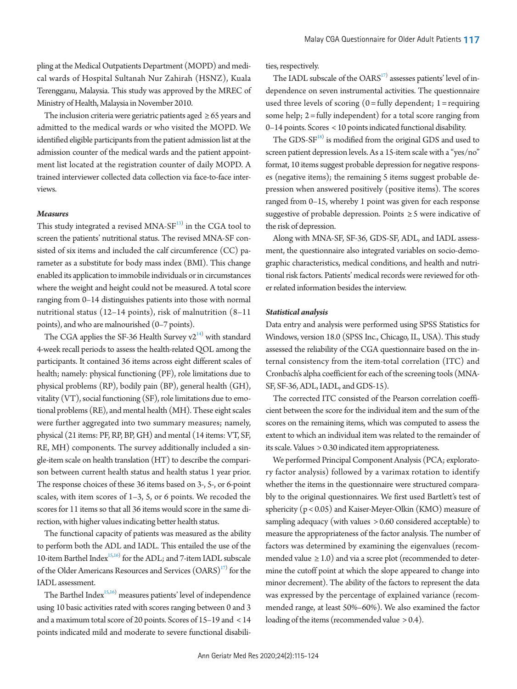pling at the Medical Outpatients Department (MOPD) and medical wards of Hospital Sultanah Nur Zahirah (HSNZ), Kuala Terengganu, Malaysia. This study was approved by the MREC of Ministry of Health, Malaysia in November 2010.

The inclusion criteria were geriatric patients aged  $\geq 65$  years and admitted to the medical wards or who visited the MOPD. We identified eligible participants from the patient admission list at the admission counter of the medical wards and the patient appointment list located at the registration counter of daily MOPD. A trained interviewer collected data collection via face-to-face interviews

## *Measures*

This study integrated a revised MNA-S $F^{13)}$  in the CGA tool to screen the patients' nutritional status. The revised MNA-SF consisted of six items and included the calf circumference (CC) parameter as a substitute for body mass index (BMI). This change enabled its application to immobile individuals or in circumstances where the weight and height could not be measured. A total score ranging from 0–14 distinguishes patients into those with normal nutritional status (12–14 points), risk of malnutrition (8–11 points), and who are malnourished (0–7 points).

The CGA applies the SF-36 Health Survey  $v2^{14}$  with standard 4-week recall periods to assess the health-related QOL among the participants. It contained 36 items across eight different scales of health; namely: physical functioning (PF), role limitations due to physical problems (RP), bodily pain (BP), general health (GH), vitality (VT), social functioning (SF), role limitations due to emotional problems (RE), and mental health (MH). These eight scales were further aggregated into two summary measures; namely, physical (21 items: PF, RP, BP, GH) and mental (14 items: VT, SF, RE, MH) components. The survey additionally included a single-item scale on health translation (HT) to describe the comparison between current health status and health status 1 year prior. The response choices of these 36 items based on 3-, 5-, or 6-point scales, with item scores of 1–3, 5, or 6 points. We recoded the scores for 11 items so that all 36 items would score in the same direction, with higher values indicating better health status.

The functional capacity of patients was measured as the ability to perform both the ADL and IADL. This entailed the use of the 10-item Barthel Index $15,16$  for the ADL; and 7-item IADL subscale of the Older Americans Resources and Services  $(OARS)^{17}$  for the IADL assessment.

The Barthel Inde $x^{15,16}$  $x^{15,16}$  $x^{15,16}$  $x^{15,16}$ ) measures patients' level of independence using 10 basic activities rated with scores ranging between 0 and 3 and a maximum total score of 20 points. Scores of 15–19 and < 14 points indicated mild and moderate to severe functional disabilities, respectively.

The IADL subscale of the  $OARS^{17}$  assesses patients' level of independence on seven instrumental activities. The questionnaire used three levels of scoring  $(0 = \text{fully dependent}; 1 = \text{requiring})$ some help;  $2 =$  fully independent) for a total score ranging from 0–14 points. Scores < 10 points indicated functional disability.

The GDS-SF<sup>18)</sup> is modified from the original GDS and used to screen patient depression levels. As a 15-item scale with a "yes/no" format, 10 items suggest probable depression for negative responses (negative items); the remaining 5 items suggest probable depression when answered positively (positive items). The scores ranged from 0–15, whereby 1 point was given for each response suggestive of probable depression. Points ≥ 5 were indicative of the risk of depression.

Along with MNA-SF, SF-36, GDS-SF, ADL, and IADL assessment, the questionnaire also integrated variables on socio-demographic characteristics, medical conditions, and health and nutritional risk factors. Patients' medical records were reviewed for other related information besides the interview.

#### *Statistical analysis*

Data entry and analysis were performed using SPSS Statistics for Windows, version 18.0 (SPSS Inc., Chicago, IL, USA). This study assessed the reliability of the CGA questionnaire based on the internal consistency from the item-total correlation (ITC) and Cronbach's alpha coefficient for each of the screening tools (MNA-SF, SF-36, ADL, IADL, and GDS-15).

The corrected ITC consisted of the Pearson correlation coefficient between the score for the individual item and the sum of the scores on the remaining items, which was computed to assess the extent to which an individual item was related to the remainder of its scale. Values > 0.30 indicated item appropriateness.

We performed Principal Component Analysis (PCA; exploratory factor analysis) followed by a varimax rotation to identify whether the items in the questionnaire were structured comparably to the original questionnaires. We first used Bartlett's test of sphericity (p < 0.05) and Kaiser-Meyer-Olkin (KMO) measure of sampling adequacy (with values > 0.60 considered acceptable) to measure the appropriateness of the factor analysis. The number of factors was determined by examining the eigenvalues (recommended value  $\geq 1.0$ ) and via a scree plot (recommended to determine the cutoff point at which the slope appeared to change into minor decrement). The ability of the factors to represent the data was expressed by the percentage of explained variance (recommended range, at least 50%–60%). We also examined the factor loading of the items (recommended value > 0.4).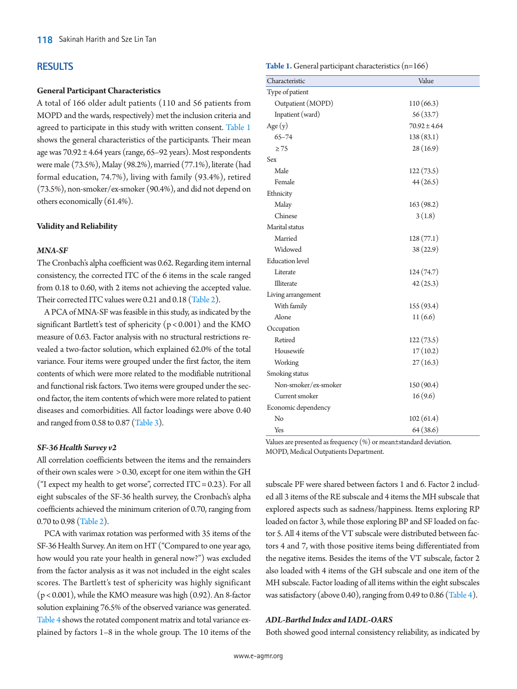## **RESULTS**

#### **General Participant Characteristics**

A total of 166 older adult patients (110 and 56 patients from MOPD and the wards, respectively) met the inclusion criteria and agreed to participate in this study with written consent. [Table 1](#page-3-0) shows the general characteristics of the participants. Their mean age was 70.92 ± 4.64 years (range, 65–92 years). Most respondents were male (73.5%), Malay (98.2%), married (77.1%), literate (had formal education, 74.7%), living with family (93.4%), retired (73.5%), non-smoker/ex-smoker (90.4%), and did not depend on others economically (61.4%).

#### **Validity and Reliability**

#### *MNA-SF*

The Cronbach's alpha coefficient was 0.62. Regarding item internal consistency, the corrected ITC of the 6 items in the scale ranged from 0.18 to 0.60, with 2 items not achieving the accepted value. Their corrected ITC values were 0.21 and 0.18 [\(Table 2\)](#page-4-0).

A PCA of MNA-SF was feasible in this study, as indicated by the significant Bartlett's test of sphericity  $(p < 0.001)$  and the KMO measure of 0.63. Factor analysis with no structural restrictions revealed a two-factor solution, which explained 62.0% of the total variance. Four items were grouped under the first factor, the item contents of which were more related to the modifiable nutritional and functional risk factors. Two items were grouped under the second factor, the item contents of which were more related to patient diseases and comorbidities. All factor loadings were above 0.40 and ranged from 0.58 to 0.87 [\(Table 3\)](#page-4-1).

#### *SF-36 Health Survey v2*

All correlation coefficients between the items and the remainders of their own scales were > 0.30, except for one item within the GH ("I expect my health to get worse", corrected ITC =  $0.23$ ). For all eight subscales of the SF-36 health survey, the Cronbach's alpha coefficients achieved the minimum criterion of 0.70, ranging from 0.70 to 0.98 [\(Table 2](#page-4-0)).

PCA with varimax rotation was performed with 35 items of the SF-36 Health Survey. An item on HT ("Compared to one year ago, how would you rate your health in general now?") was excluded from the factor analysis as it was not included in the eight scales scores. The Bartlett's test of sphericity was highly significant (p < 0.001), while the KMO measure was high (0.92). An 8-factor solution explaining 76.5% of the observed variance was generated. [Table 4](#page-5-0) shows the rotated component matrix and total variance explained by factors 1–8 in the whole group. The 10 items of the <span id="page-3-0"></span>**Table 1.** General participant characteristics (n=166)

| Characteristic         | Value            |
|------------------------|------------------|
| Type of patient        |                  |
| Outpatient (MOPD)      | 110(66.3)        |
| Inpatient (ward)       | 56(33.7)         |
| Age $(y)$              | $70.92 \pm 4.64$ |
| $65 - 74$              | 138(83.1)        |
| $\geq$ 75              | 28(16.9)         |
| Sex                    |                  |
| Male                   | 122(73.5)        |
| Female                 | 44(26.5)         |
| Ethnicity              |                  |
| Malay                  | 163 (98.2)       |
| Chinese                | 3(1.8)           |
| Marital status         |                  |
| Married                | 128(77.1)        |
| Widowed                | 38(22.9)         |
| <b>Education</b> level |                  |
| Literate               | 124(74.7)        |
| Illiterate             | 42(25.3)         |
| Living arrangement     |                  |
| With family            | 155 (93.4)       |
| Alone                  | 11(6.6)          |
| Occupation             |                  |
| Retired                | 122(73.5)        |
| Housewife              | 17(10.2)         |
| Working                | 27(16.3)         |
| Smoking status         |                  |
| Non-smoker/ex-smoker   | 150(90.4)        |
| Current smoker         | 16(9.6)          |
| Economic dependency    |                  |
| No                     | 102(61.4)        |
| Yes                    | 64(38.6)         |

Values are presented as frequency (%) or mean±standard deviation. MOPD, Medical Outpatients Department.

subscale PF were shared between factors 1 and 6. Factor 2 included all 3 items of the RE subscale and 4 items the MH subscale that explored aspects such as sadness/happiness. Items exploring RP loaded on factor 3, while those exploring BP and SF loaded on factor 5. All 4 items of the VT subscale were distributed between factors 4 and 7, with those positive items being differentiated from the negative items. Besides the items of the VT subscale, factor 2 also loaded with 4 items of the GH subscale and one item of the MH subscale. Factor loading of all items within the eight subscales was satisfactory (above 0.40), ranging from 0.49 to 0.86 [\(Table 4](#page-5-0)).

#### *ADL-Barthel Index and IADL-OARS*

Both showed good internal consistency reliability, as indicated by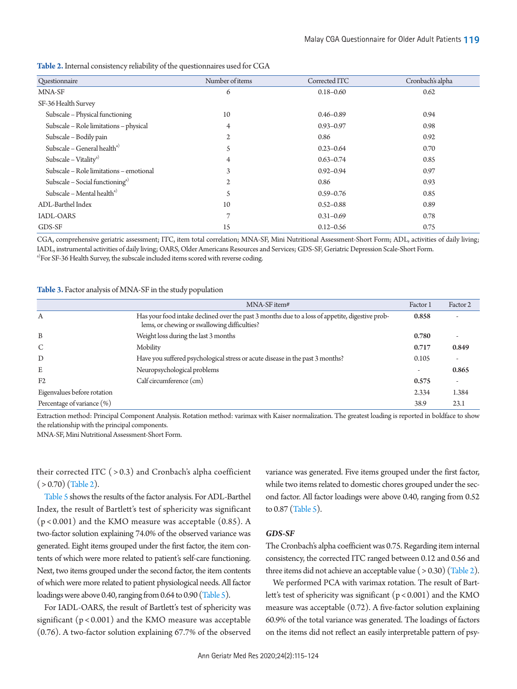| Questionnaire                               | Number of items | Corrected ITC | Cronbach's alpha |
|---------------------------------------------|-----------------|---------------|------------------|
| MNA-SF                                      | 6               | $0.18 - 0.60$ | 0.62             |
| SF-36 Health Survey                         |                 |               |                  |
| Subscale - Physical functioning             | 10              | $0.46 - 0.89$ | 0.94             |
| Subscale - Role limitations - physical      | $\overline{4}$  | $0.93 - 0.97$ | 0.98             |
| Subscale - Bodily pain                      | $\mathfrak{2}$  | 0.86          | 0.92             |
| Subscale - General health <sup>a)</sup>     | 5               | $0.23 - 0.64$ | 0.70             |
| Subscale – Vitality <sup>a)</sup>           | $\overline{4}$  | $0.63 - 0.74$ | 0.85             |
| Subscale - Role limitations - emotional     | 3               | $0.92 - 0.94$ | 0.97             |
| Subscale – Social functioning <sup>a)</sup> | $\mathbf{2}$    | 0.86          | 0.93             |
| Subscale – Mental health <sup>a)</sup>      | 5               | $0.59 - 0.76$ | 0.85             |
| ADL-Barthel Index                           | 10              | $0.52 - 0.88$ | 0.89             |
| <b>IADL-OARS</b>                            | 7               | $0.31 - 0.69$ | 0.78             |
| GDS-SF                                      | 15              | $0.12 - 0.56$ | 0.75             |

<span id="page-4-0"></span>**Table 2.** Internal consistency reliability of the questionnaires used for CGA

CGA, comprehensive geriatric assessment; ITC, item total correlation; MNA-SF, Mini Nutritional Assessment-Short Form; ADL, activities of daily living; IADL, instrumental activities of daily living; OARS, Older Americans Resources and Services; GDS-SF, Geriatric Depression Scale-Short Form.

a)For SF-36 Health Survey, the subscale included items scored with reverse coding.

#### <span id="page-4-1"></span>**Table 3.** Factor analysis of MNA-SF in the study population

|                             | MNA-SF item#                                                                                                                                    | Factor 1 | Factor 2 |
|-----------------------------|-------------------------------------------------------------------------------------------------------------------------------------------------|----------|----------|
| Α                           | Has your food intake declined over the past 3 months due to a loss of appetite, digestive prob-<br>lems, or chewing or swallowing difficulties? | 0.858    |          |
| B                           | Weight loss during the last 3 months                                                                                                            | 0.780    |          |
| $\mathcal{C}$               | Mobility                                                                                                                                        | 0.717    | 0.849    |
| D                           | Have you suffered psychological stress or acute disease in the past 3 months?                                                                   | 0.105    |          |
| E                           | Neuropsychological problems                                                                                                                     |          | 0.865    |
| F <sub>2</sub>              | Calf circumference (cm)                                                                                                                         | 0.575    |          |
| Eigenvalues before rotation |                                                                                                                                                 | 2.334    | 1.384    |
| Percentage of variance (%)  |                                                                                                                                                 | 38.9     | 23.1     |

Extraction method: Principal Component Analysis. Rotation method: varimax with Kaiser normalization. The greatest loading is reported in boldface to show the relationship with the principal components.

MNA-SF, Mini Nutritional Assessment-Short Form.

their corrected ITC  $( > 0.3)$  and Cronbach's alpha coefficient  $( > 0.70)$  (Table 2).

[Table 5](#page-6-0) shows the results of the factor analysis. For ADL-Barthel Index, the result of Bartlett's test of sphericity was significant  $(p < 0.001)$  and the KMO measure was acceptable  $(0.85)$ . A two-factor solution explaining 74.0% of the observed variance was generated. Eight items grouped under the first factor, the item contents of which were more related to patient's self-care functioning. Next, two items grouped under the second factor, the item contents of which were more related to patient physiological needs. All factor loadings were above 0.40, ranging from 0.64 to 0.90 [\(Table 5\)](#page-6-0).

For IADL-OARS, the result of Bartlett's test of sphericity was significant  $(p < 0.001)$  and the KMO measure was acceptable (0.76). A two-factor solution explaining 67.7% of the observed

variance was generated. Five items grouped under the first factor, while two items related to domestic chores grouped under the second factor. All factor loadings were above 0.40, ranging from 0.52 to 0.87 [\(Table 5\)](#page-6-0).

#### *GDS-SF*

The Cronbach's alpha coefficient was 0.75. Regarding item internal consistency, the corrected ITC ranged between 0.12 and 0.56 and three items did not achieve an acceptable value  $( > 0.30)$  (Table 2).

We performed PCA with varimax rotation. The result of Bartlett's test of sphericity was significant (p < 0.001) and the KMO measure was acceptable (0.72). A five-factor solution explaining 60.9% of the total variance was generated. The loadings of factors on the items did not reflect an easily interpretable pattern of psy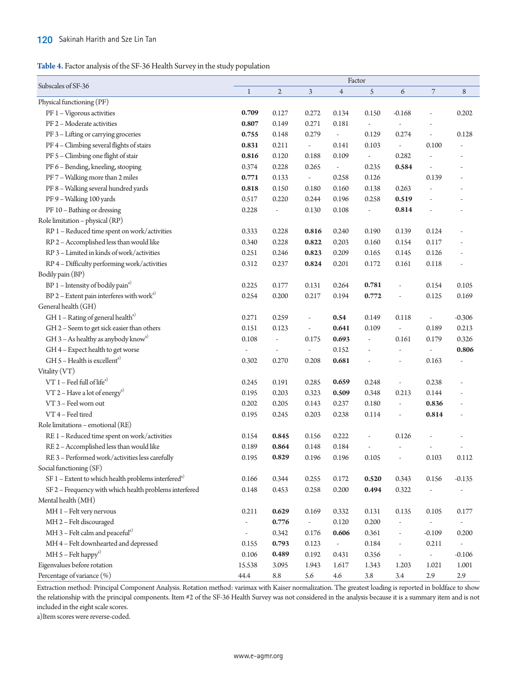<span id="page-5-0"></span>**Table 4.** Factor analysis of the SF-36 Health Survey in the study population

| Subscales of SF-36<br>$\overline{\phantom{a}}$<br>$\mathbf{2}$<br>$\mathfrak{Z}$<br>5<br>6<br>8<br>$\mathbf 1$<br>$\overline{4}$<br>Physical functioning (PF)<br>PF 1 - Vigorous activities<br>0.202<br>0.709<br>0.127<br>0.272<br>0.134<br>0.150<br>$-0.168$<br>÷,<br>PF 2 - Moderate activities<br>0.271<br>0.181<br>0.807<br>0.149<br>$\overline{a}$<br>$\overline{\phantom{a}}$<br>PF 3 - Lifting or carrying groceries<br>0.755<br>0.129<br>0.274<br>0.148<br>0.279<br>0.128<br>$\overline{\phantom{a}}$<br>$\overline{\phantom{a}}$<br>PF4 - Climbing several flights of stairs<br>0.831<br>0.211<br>0.141<br>0.100<br>0.103<br>$\omega$<br>$\omega$<br>PF 5 - Climbing one flight of stair<br>0.282<br>0.816<br>0.120<br>0.188<br>0.109<br>$\overline{\phantom{a}}$<br>$\overline{\phantom{a}}$<br>PF 6 - Bending, kneeling, stooping<br>0.374<br>0.228<br>0.265<br>0.235<br>0.584<br>$\overline{\phantom{a}}$<br>$\overline{\phantom{a}}$<br>PF7 - Walking more than 2 miles<br>0.258<br>0.126<br>0.139<br>0.771<br>0.133<br>$\overline{\phantom{a}}$<br>PF 8 - Walking several hundred yards<br>0.818<br>0.150<br>0.180<br>0.160<br>0.138<br>0.263<br>PF 9 - Walking 100 yards<br>0.517<br>0.220<br>0.196<br>0.258<br>0.519<br>0.244<br>PF 10 - Bathing or dressing<br>0.228<br>0.814<br>0.130<br>0.108<br>$\overline{\phantom{a}}$<br>÷<br>Role limitation - physical (RP)<br>RP 1 - Reduced time spent on work/activities<br>0.228<br>0.190<br>0.333<br>0.816<br>0.240<br>0.139<br>0.124<br>RP 2 - Accomplished less than would like<br>0.228<br>0.822<br>0.203<br>0.160<br>0.117<br>0.340<br>0.154<br>RP 3 - Limited in kinds of work/activities<br>0.251<br>0.246<br>0.823<br>0.209<br>0.165<br>0.145<br>0.126<br>RP 4 - Difficulty performing work/activities<br>0.312<br>0.237<br>0.824<br>0.201<br>0.172<br>0.161<br>0.118<br>Bodily pain (BP)<br>$BP 1$ – Intensity of bodily pain <sup>a)</sup><br>0.781<br>0.154<br>0.105<br>0.225<br>0.177<br>0.131<br>0.264<br>$\overline{\phantom{a}}$<br>$BP 2 - Extent$ pain interferes with work <sup>a)</sup><br>0.254<br>0.200<br>0.217<br>0.194<br>0.772<br>0.125<br>0.169<br>÷,<br>General health (GH)<br>GH $1 -$ Rating of general health <sup>a)</sup><br>0.271<br>$-0.306$<br>0.259<br>0.54<br>0.149<br>0.118<br>$\overline{\phantom{a}}$<br>$\overline{\phantom{a}}$<br>GH 2 - Seem to get sick easier than others<br>0.151<br>0.641<br>0.189<br>0.213<br>0.123<br>0.109<br>$\overline{\phantom{a}}$<br>$\overline{\phantom{a}}$<br>GH $3$ – As healthy as anybody know <sup>a)</sup><br>0.108<br>0.693<br>0.161<br>0.326<br>0.175<br>0.179<br>$\overline{\phantom{a}}$<br>$\overline{\phantom{a}}$<br>GH4 - Expect health to get worse<br>0.152<br>0.806<br>$\overline{\phantom{a}}$<br>$\overline{\phantom{a}}$<br>$\overline{\phantom{a}}$<br>$\overline{a}$<br>GH $5$ – Health is excellent <sup>a)</sup><br>0.302<br>0.270<br>0.208<br>0.681<br>0.163<br>$\overline{a}$<br>$\frac{1}{2}$<br>Vitality (VT)<br>$VT 1 - Feel full of lifea)$<br>0.191<br>0.238<br>0.245<br>0.285<br>0.659<br>0.248<br>$\overline{\phantom{a}}$<br>VT 2 – Have a lot of energy <sup>a)</sup><br>0.195<br>0.203<br>0.348<br>0.213<br>0.144<br>0.323<br>0.509 |
|----------------------------------------------------------------------------------------------------------------------------------------------------------------------------------------------------------------------------------------------------------------------------------------------------------------------------------------------------------------------------------------------------------------------------------------------------------------------------------------------------------------------------------------------------------------------------------------------------------------------------------------------------------------------------------------------------------------------------------------------------------------------------------------------------------------------------------------------------------------------------------------------------------------------------------------------------------------------------------------------------------------------------------------------------------------------------------------------------------------------------------------------------------------------------------------------------------------------------------------------------------------------------------------------------------------------------------------------------------------------------------------------------------------------------------------------------------------------------------------------------------------------------------------------------------------------------------------------------------------------------------------------------------------------------------------------------------------------------------------------------------------------------------------------------------------------------------------------------------------------------------------------------------------------------------------------------------------------------------------------------------------------------------------------------------------------------------------------------------------------------------------------------------------------------------------------------------------------------------------------------------------------------------------------------------------------------------------------------------------------------------------------------------------------------------------------------------------------------------------------------------------------------------------------------------------------------------------------------------------------------------------------------------------------------------------------------------------------------------------------------------------------------------------------------------------------------------------------------------------------------------------------------------------------------------------------------------------------------------------------------------------------------------------------------------------------------------------------------------------------------------------------------------------------------------------------------------------|
|                                                                                                                                                                                                                                                                                                                                                                                                                                                                                                                                                                                                                                                                                                                                                                                                                                                                                                                                                                                                                                                                                                                                                                                                                                                                                                                                                                                                                                                                                                                                                                                                                                                                                                                                                                                                                                                                                                                                                                                                                                                                                                                                                                                                                                                                                                                                                                                                                                                                                                                                                                                                                                                                                                                                                                                                                                                                                                                                                                                                                                                                                                                                                                                                                |
|                                                                                                                                                                                                                                                                                                                                                                                                                                                                                                                                                                                                                                                                                                                                                                                                                                                                                                                                                                                                                                                                                                                                                                                                                                                                                                                                                                                                                                                                                                                                                                                                                                                                                                                                                                                                                                                                                                                                                                                                                                                                                                                                                                                                                                                                                                                                                                                                                                                                                                                                                                                                                                                                                                                                                                                                                                                                                                                                                                                                                                                                                                                                                                                                                |
|                                                                                                                                                                                                                                                                                                                                                                                                                                                                                                                                                                                                                                                                                                                                                                                                                                                                                                                                                                                                                                                                                                                                                                                                                                                                                                                                                                                                                                                                                                                                                                                                                                                                                                                                                                                                                                                                                                                                                                                                                                                                                                                                                                                                                                                                                                                                                                                                                                                                                                                                                                                                                                                                                                                                                                                                                                                                                                                                                                                                                                                                                                                                                                                                                |
|                                                                                                                                                                                                                                                                                                                                                                                                                                                                                                                                                                                                                                                                                                                                                                                                                                                                                                                                                                                                                                                                                                                                                                                                                                                                                                                                                                                                                                                                                                                                                                                                                                                                                                                                                                                                                                                                                                                                                                                                                                                                                                                                                                                                                                                                                                                                                                                                                                                                                                                                                                                                                                                                                                                                                                                                                                                                                                                                                                                                                                                                                                                                                                                                                |
|                                                                                                                                                                                                                                                                                                                                                                                                                                                                                                                                                                                                                                                                                                                                                                                                                                                                                                                                                                                                                                                                                                                                                                                                                                                                                                                                                                                                                                                                                                                                                                                                                                                                                                                                                                                                                                                                                                                                                                                                                                                                                                                                                                                                                                                                                                                                                                                                                                                                                                                                                                                                                                                                                                                                                                                                                                                                                                                                                                                                                                                                                                                                                                                                                |
|                                                                                                                                                                                                                                                                                                                                                                                                                                                                                                                                                                                                                                                                                                                                                                                                                                                                                                                                                                                                                                                                                                                                                                                                                                                                                                                                                                                                                                                                                                                                                                                                                                                                                                                                                                                                                                                                                                                                                                                                                                                                                                                                                                                                                                                                                                                                                                                                                                                                                                                                                                                                                                                                                                                                                                                                                                                                                                                                                                                                                                                                                                                                                                                                                |
|                                                                                                                                                                                                                                                                                                                                                                                                                                                                                                                                                                                                                                                                                                                                                                                                                                                                                                                                                                                                                                                                                                                                                                                                                                                                                                                                                                                                                                                                                                                                                                                                                                                                                                                                                                                                                                                                                                                                                                                                                                                                                                                                                                                                                                                                                                                                                                                                                                                                                                                                                                                                                                                                                                                                                                                                                                                                                                                                                                                                                                                                                                                                                                                                                |
|                                                                                                                                                                                                                                                                                                                                                                                                                                                                                                                                                                                                                                                                                                                                                                                                                                                                                                                                                                                                                                                                                                                                                                                                                                                                                                                                                                                                                                                                                                                                                                                                                                                                                                                                                                                                                                                                                                                                                                                                                                                                                                                                                                                                                                                                                                                                                                                                                                                                                                                                                                                                                                                                                                                                                                                                                                                                                                                                                                                                                                                                                                                                                                                                                |
|                                                                                                                                                                                                                                                                                                                                                                                                                                                                                                                                                                                                                                                                                                                                                                                                                                                                                                                                                                                                                                                                                                                                                                                                                                                                                                                                                                                                                                                                                                                                                                                                                                                                                                                                                                                                                                                                                                                                                                                                                                                                                                                                                                                                                                                                                                                                                                                                                                                                                                                                                                                                                                                                                                                                                                                                                                                                                                                                                                                                                                                                                                                                                                                                                |
|                                                                                                                                                                                                                                                                                                                                                                                                                                                                                                                                                                                                                                                                                                                                                                                                                                                                                                                                                                                                                                                                                                                                                                                                                                                                                                                                                                                                                                                                                                                                                                                                                                                                                                                                                                                                                                                                                                                                                                                                                                                                                                                                                                                                                                                                                                                                                                                                                                                                                                                                                                                                                                                                                                                                                                                                                                                                                                                                                                                                                                                                                                                                                                                                                |
|                                                                                                                                                                                                                                                                                                                                                                                                                                                                                                                                                                                                                                                                                                                                                                                                                                                                                                                                                                                                                                                                                                                                                                                                                                                                                                                                                                                                                                                                                                                                                                                                                                                                                                                                                                                                                                                                                                                                                                                                                                                                                                                                                                                                                                                                                                                                                                                                                                                                                                                                                                                                                                                                                                                                                                                                                                                                                                                                                                                                                                                                                                                                                                                                                |
|                                                                                                                                                                                                                                                                                                                                                                                                                                                                                                                                                                                                                                                                                                                                                                                                                                                                                                                                                                                                                                                                                                                                                                                                                                                                                                                                                                                                                                                                                                                                                                                                                                                                                                                                                                                                                                                                                                                                                                                                                                                                                                                                                                                                                                                                                                                                                                                                                                                                                                                                                                                                                                                                                                                                                                                                                                                                                                                                                                                                                                                                                                                                                                                                                |
|                                                                                                                                                                                                                                                                                                                                                                                                                                                                                                                                                                                                                                                                                                                                                                                                                                                                                                                                                                                                                                                                                                                                                                                                                                                                                                                                                                                                                                                                                                                                                                                                                                                                                                                                                                                                                                                                                                                                                                                                                                                                                                                                                                                                                                                                                                                                                                                                                                                                                                                                                                                                                                                                                                                                                                                                                                                                                                                                                                                                                                                                                                                                                                                                                |
|                                                                                                                                                                                                                                                                                                                                                                                                                                                                                                                                                                                                                                                                                                                                                                                                                                                                                                                                                                                                                                                                                                                                                                                                                                                                                                                                                                                                                                                                                                                                                                                                                                                                                                                                                                                                                                                                                                                                                                                                                                                                                                                                                                                                                                                                                                                                                                                                                                                                                                                                                                                                                                                                                                                                                                                                                                                                                                                                                                                                                                                                                                                                                                                                                |
|                                                                                                                                                                                                                                                                                                                                                                                                                                                                                                                                                                                                                                                                                                                                                                                                                                                                                                                                                                                                                                                                                                                                                                                                                                                                                                                                                                                                                                                                                                                                                                                                                                                                                                                                                                                                                                                                                                                                                                                                                                                                                                                                                                                                                                                                                                                                                                                                                                                                                                                                                                                                                                                                                                                                                                                                                                                                                                                                                                                                                                                                                                                                                                                                                |
|                                                                                                                                                                                                                                                                                                                                                                                                                                                                                                                                                                                                                                                                                                                                                                                                                                                                                                                                                                                                                                                                                                                                                                                                                                                                                                                                                                                                                                                                                                                                                                                                                                                                                                                                                                                                                                                                                                                                                                                                                                                                                                                                                                                                                                                                                                                                                                                                                                                                                                                                                                                                                                                                                                                                                                                                                                                                                                                                                                                                                                                                                                                                                                                                                |
|                                                                                                                                                                                                                                                                                                                                                                                                                                                                                                                                                                                                                                                                                                                                                                                                                                                                                                                                                                                                                                                                                                                                                                                                                                                                                                                                                                                                                                                                                                                                                                                                                                                                                                                                                                                                                                                                                                                                                                                                                                                                                                                                                                                                                                                                                                                                                                                                                                                                                                                                                                                                                                                                                                                                                                                                                                                                                                                                                                                                                                                                                                                                                                                                                |
|                                                                                                                                                                                                                                                                                                                                                                                                                                                                                                                                                                                                                                                                                                                                                                                                                                                                                                                                                                                                                                                                                                                                                                                                                                                                                                                                                                                                                                                                                                                                                                                                                                                                                                                                                                                                                                                                                                                                                                                                                                                                                                                                                                                                                                                                                                                                                                                                                                                                                                                                                                                                                                                                                                                                                                                                                                                                                                                                                                                                                                                                                                                                                                                                                |
|                                                                                                                                                                                                                                                                                                                                                                                                                                                                                                                                                                                                                                                                                                                                                                                                                                                                                                                                                                                                                                                                                                                                                                                                                                                                                                                                                                                                                                                                                                                                                                                                                                                                                                                                                                                                                                                                                                                                                                                                                                                                                                                                                                                                                                                                                                                                                                                                                                                                                                                                                                                                                                                                                                                                                                                                                                                                                                                                                                                                                                                                                                                                                                                                                |
|                                                                                                                                                                                                                                                                                                                                                                                                                                                                                                                                                                                                                                                                                                                                                                                                                                                                                                                                                                                                                                                                                                                                                                                                                                                                                                                                                                                                                                                                                                                                                                                                                                                                                                                                                                                                                                                                                                                                                                                                                                                                                                                                                                                                                                                                                                                                                                                                                                                                                                                                                                                                                                                                                                                                                                                                                                                                                                                                                                                                                                                                                                                                                                                                                |
|                                                                                                                                                                                                                                                                                                                                                                                                                                                                                                                                                                                                                                                                                                                                                                                                                                                                                                                                                                                                                                                                                                                                                                                                                                                                                                                                                                                                                                                                                                                                                                                                                                                                                                                                                                                                                                                                                                                                                                                                                                                                                                                                                                                                                                                                                                                                                                                                                                                                                                                                                                                                                                                                                                                                                                                                                                                                                                                                                                                                                                                                                                                                                                                                                |
|                                                                                                                                                                                                                                                                                                                                                                                                                                                                                                                                                                                                                                                                                                                                                                                                                                                                                                                                                                                                                                                                                                                                                                                                                                                                                                                                                                                                                                                                                                                                                                                                                                                                                                                                                                                                                                                                                                                                                                                                                                                                                                                                                                                                                                                                                                                                                                                                                                                                                                                                                                                                                                                                                                                                                                                                                                                                                                                                                                                                                                                                                                                                                                                                                |
|                                                                                                                                                                                                                                                                                                                                                                                                                                                                                                                                                                                                                                                                                                                                                                                                                                                                                                                                                                                                                                                                                                                                                                                                                                                                                                                                                                                                                                                                                                                                                                                                                                                                                                                                                                                                                                                                                                                                                                                                                                                                                                                                                                                                                                                                                                                                                                                                                                                                                                                                                                                                                                                                                                                                                                                                                                                                                                                                                                                                                                                                                                                                                                                                                |
|                                                                                                                                                                                                                                                                                                                                                                                                                                                                                                                                                                                                                                                                                                                                                                                                                                                                                                                                                                                                                                                                                                                                                                                                                                                                                                                                                                                                                                                                                                                                                                                                                                                                                                                                                                                                                                                                                                                                                                                                                                                                                                                                                                                                                                                                                                                                                                                                                                                                                                                                                                                                                                                                                                                                                                                                                                                                                                                                                                                                                                                                                                                                                                                                                |
|                                                                                                                                                                                                                                                                                                                                                                                                                                                                                                                                                                                                                                                                                                                                                                                                                                                                                                                                                                                                                                                                                                                                                                                                                                                                                                                                                                                                                                                                                                                                                                                                                                                                                                                                                                                                                                                                                                                                                                                                                                                                                                                                                                                                                                                                                                                                                                                                                                                                                                                                                                                                                                                                                                                                                                                                                                                                                                                                                                                                                                                                                                                                                                                                                |
|                                                                                                                                                                                                                                                                                                                                                                                                                                                                                                                                                                                                                                                                                                                                                                                                                                                                                                                                                                                                                                                                                                                                                                                                                                                                                                                                                                                                                                                                                                                                                                                                                                                                                                                                                                                                                                                                                                                                                                                                                                                                                                                                                                                                                                                                                                                                                                                                                                                                                                                                                                                                                                                                                                                                                                                                                                                                                                                                                                                                                                                                                                                                                                                                                |
|                                                                                                                                                                                                                                                                                                                                                                                                                                                                                                                                                                                                                                                                                                                                                                                                                                                                                                                                                                                                                                                                                                                                                                                                                                                                                                                                                                                                                                                                                                                                                                                                                                                                                                                                                                                                                                                                                                                                                                                                                                                                                                                                                                                                                                                                                                                                                                                                                                                                                                                                                                                                                                                                                                                                                                                                                                                                                                                                                                                                                                                                                                                                                                                                                |
|                                                                                                                                                                                                                                                                                                                                                                                                                                                                                                                                                                                                                                                                                                                                                                                                                                                                                                                                                                                                                                                                                                                                                                                                                                                                                                                                                                                                                                                                                                                                                                                                                                                                                                                                                                                                                                                                                                                                                                                                                                                                                                                                                                                                                                                                                                                                                                                                                                                                                                                                                                                                                                                                                                                                                                                                                                                                                                                                                                                                                                                                                                                                                                                                                |
|                                                                                                                                                                                                                                                                                                                                                                                                                                                                                                                                                                                                                                                                                                                                                                                                                                                                                                                                                                                                                                                                                                                                                                                                                                                                                                                                                                                                                                                                                                                                                                                                                                                                                                                                                                                                                                                                                                                                                                                                                                                                                                                                                                                                                                                                                                                                                                                                                                                                                                                                                                                                                                                                                                                                                                                                                                                                                                                                                                                                                                                                                                                                                                                                                |
| VT 3 - Feel worn out<br>0.202<br>0.180<br>0.836<br>0.205<br>0.143<br>0.237<br>$\overline{\phantom{a}}$                                                                                                                                                                                                                                                                                                                                                                                                                                                                                                                                                                                                                                                                                                                                                                                                                                                                                                                                                                                                                                                                                                                                                                                                                                                                                                                                                                                                                                                                                                                                                                                                                                                                                                                                                                                                                                                                                                                                                                                                                                                                                                                                                                                                                                                                                                                                                                                                                                                                                                                                                                                                                                                                                                                                                                                                                                                                                                                                                                                                                                                                                                         |
| 0.814<br>VT 4 - Feel tired<br>0.195<br>0.203<br>0.238<br>0.114<br>0.245<br>÷,<br>÷                                                                                                                                                                                                                                                                                                                                                                                                                                                                                                                                                                                                                                                                                                                                                                                                                                                                                                                                                                                                                                                                                                                                                                                                                                                                                                                                                                                                                                                                                                                                                                                                                                                                                                                                                                                                                                                                                                                                                                                                                                                                                                                                                                                                                                                                                                                                                                                                                                                                                                                                                                                                                                                                                                                                                                                                                                                                                                                                                                                                                                                                                                                             |
| Role limitations - emotional (RE)                                                                                                                                                                                                                                                                                                                                                                                                                                                                                                                                                                                                                                                                                                                                                                                                                                                                                                                                                                                                                                                                                                                                                                                                                                                                                                                                                                                                                                                                                                                                                                                                                                                                                                                                                                                                                                                                                                                                                                                                                                                                                                                                                                                                                                                                                                                                                                                                                                                                                                                                                                                                                                                                                                                                                                                                                                                                                                                                                                                                                                                                                                                                                                              |
| RE 1 - Reduced time spent on work/activities<br>0.222<br>0.126<br>0.154<br>0.845<br>0.156<br>$\overline{a}$                                                                                                                                                                                                                                                                                                                                                                                                                                                                                                                                                                                                                                                                                                                                                                                                                                                                                                                                                                                                                                                                                                                                                                                                                                                                                                                                                                                                                                                                                                                                                                                                                                                                                                                                                                                                                                                                                                                                                                                                                                                                                                                                                                                                                                                                                                                                                                                                                                                                                                                                                                                                                                                                                                                                                                                                                                                                                                                                                                                                                                                                                                    |
| RE 2 - Accomplished less than would like<br>0.189<br>0.864<br>0.148<br>0.184                                                                                                                                                                                                                                                                                                                                                                                                                                                                                                                                                                                                                                                                                                                                                                                                                                                                                                                                                                                                                                                                                                                                                                                                                                                                                                                                                                                                                                                                                                                                                                                                                                                                                                                                                                                                                                                                                                                                                                                                                                                                                                                                                                                                                                                                                                                                                                                                                                                                                                                                                                                                                                                                                                                                                                                                                                                                                                                                                                                                                                                                                                                                   |
| RE 3 - Performed work/activities less carefully<br>0.105<br>0.103<br>0.195<br>0.829<br>0.196<br>0.196<br>0.112<br>÷,                                                                                                                                                                                                                                                                                                                                                                                                                                                                                                                                                                                                                                                                                                                                                                                                                                                                                                                                                                                                                                                                                                                                                                                                                                                                                                                                                                                                                                                                                                                                                                                                                                                                                                                                                                                                                                                                                                                                                                                                                                                                                                                                                                                                                                                                                                                                                                                                                                                                                                                                                                                                                                                                                                                                                                                                                                                                                                                                                                                                                                                                                           |
| Social functioning (SF)                                                                                                                                                                                                                                                                                                                                                                                                                                                                                                                                                                                                                                                                                                                                                                                                                                                                                                                                                                                                                                                                                                                                                                                                                                                                                                                                                                                                                                                                                                                                                                                                                                                                                                                                                                                                                                                                                                                                                                                                                                                                                                                                                                                                                                                                                                                                                                                                                                                                                                                                                                                                                                                                                                                                                                                                                                                                                                                                                                                                                                                                                                                                                                                        |
| SF $1$ – Extent to which health problems interfered <sup>a)</sup><br>0.166<br>0.344<br>0.172<br>0.156<br>$-0.135$<br>0.255<br>0.520<br>0.343                                                                                                                                                                                                                                                                                                                                                                                                                                                                                                                                                                                                                                                                                                                                                                                                                                                                                                                                                                                                                                                                                                                                                                                                                                                                                                                                                                                                                                                                                                                                                                                                                                                                                                                                                                                                                                                                                                                                                                                                                                                                                                                                                                                                                                                                                                                                                                                                                                                                                                                                                                                                                                                                                                                                                                                                                                                                                                                                                                                                                                                                   |
| SF 2 - Frequency with which health problems interfered<br>0.148<br>0.453<br>0.258<br>0.200<br>0.322<br>0.494<br>$\overline{\phantom{a}}$                                                                                                                                                                                                                                                                                                                                                                                                                                                                                                                                                                                                                                                                                                                                                                                                                                                                                                                                                                                                                                                                                                                                                                                                                                                                                                                                                                                                                                                                                                                                                                                                                                                                                                                                                                                                                                                                                                                                                                                                                                                                                                                                                                                                                                                                                                                                                                                                                                                                                                                                                                                                                                                                                                                                                                                                                                                                                                                                                                                                                                                                       |
| Mental health (MH)                                                                                                                                                                                                                                                                                                                                                                                                                                                                                                                                                                                                                                                                                                                                                                                                                                                                                                                                                                                                                                                                                                                                                                                                                                                                                                                                                                                                                                                                                                                                                                                                                                                                                                                                                                                                                                                                                                                                                                                                                                                                                                                                                                                                                                                                                                                                                                                                                                                                                                                                                                                                                                                                                                                                                                                                                                                                                                                                                                                                                                                                                                                                                                                             |
| MH 1 - Felt very nervous<br>0.211<br>0.629<br>0.332<br>0.131<br>0.135<br>0.169<br>0.105<br>0.177                                                                                                                                                                                                                                                                                                                                                                                                                                                                                                                                                                                                                                                                                                                                                                                                                                                                                                                                                                                                                                                                                                                                                                                                                                                                                                                                                                                                                                                                                                                                                                                                                                                                                                                                                                                                                                                                                                                                                                                                                                                                                                                                                                                                                                                                                                                                                                                                                                                                                                                                                                                                                                                                                                                                                                                                                                                                                                                                                                                                                                                                                                               |
| 0.776<br>MH 2 - Felt discouraged<br>0.120<br>0.200<br>$\overline{\phantom{a}}$<br>$\overline{a}$<br>$\overline{\phantom{a}}$                                                                                                                                                                                                                                                                                                                                                                                                                                                                                                                                                                                                                                                                                                                                                                                                                                                                                                                                                                                                                                                                                                                                                                                                                                                                                                                                                                                                                                                                                                                                                                                                                                                                                                                                                                                                                                                                                                                                                                                                                                                                                                                                                                                                                                                                                                                                                                                                                                                                                                                                                                                                                                                                                                                                                                                                                                                                                                                                                                                                                                                                                   |
| MH 3 - Felt calm and peaceful <sup>a)</sup><br>0.342<br>0.606<br>0.361<br>$-0.109$<br>0.176<br>0.200<br>$\overline{\phantom{a}}$                                                                                                                                                                                                                                                                                                                                                                                                                                                                                                                                                                                                                                                                                                                                                                                                                                                                                                                                                                                                                                                                                                                                                                                                                                                                                                                                                                                                                                                                                                                                                                                                                                                                                                                                                                                                                                                                                                                                                                                                                                                                                                                                                                                                                                                                                                                                                                                                                                                                                                                                                                                                                                                                                                                                                                                                                                                                                                                                                                                                                                                                               |
| MH 4 - Felt downhearted and depressed<br>0.155<br>0.793<br>0.184<br>0.211<br>0.123<br>$\overline{\phantom{a}}$<br>÷,                                                                                                                                                                                                                                                                                                                                                                                                                                                                                                                                                                                                                                                                                                                                                                                                                                                                                                                                                                                                                                                                                                                                                                                                                                                                                                                                                                                                                                                                                                                                                                                                                                                                                                                                                                                                                                                                                                                                                                                                                                                                                                                                                                                                                                                                                                                                                                                                                                                                                                                                                                                                                                                                                                                                                                                                                                                                                                                                                                                                                                                                                           |
| MH $5$ – Felt happy <sup>a)</sup><br>0.106<br>0.489<br>$-0.106$<br>0.192<br>0.431<br>0.356<br>$\overline{\phantom{a}}$<br>$\overline{a}$                                                                                                                                                                                                                                                                                                                                                                                                                                                                                                                                                                                                                                                                                                                                                                                                                                                                                                                                                                                                                                                                                                                                                                                                                                                                                                                                                                                                                                                                                                                                                                                                                                                                                                                                                                                                                                                                                                                                                                                                                                                                                                                                                                                                                                                                                                                                                                                                                                                                                                                                                                                                                                                                                                                                                                                                                                                                                                                                                                                                                                                                       |
| Eigenvalues before rotation<br>15.538<br>1.001<br>3.095<br>1.943<br>1.617<br>1.343<br>1.203<br>1.021                                                                                                                                                                                                                                                                                                                                                                                                                                                                                                                                                                                                                                                                                                                                                                                                                                                                                                                                                                                                                                                                                                                                                                                                                                                                                                                                                                                                                                                                                                                                                                                                                                                                                                                                                                                                                                                                                                                                                                                                                                                                                                                                                                                                                                                                                                                                                                                                                                                                                                                                                                                                                                                                                                                                                                                                                                                                                                                                                                                                                                                                                                           |
| Percentage of variance (%)<br>44.4<br>$\ \, 8.8$<br>5.6<br>4.6<br>$3.8\,$<br>3.4<br>2.9<br>2.9                                                                                                                                                                                                                                                                                                                                                                                                                                                                                                                                                                                                                                                                                                                                                                                                                                                                                                                                                                                                                                                                                                                                                                                                                                                                                                                                                                                                                                                                                                                                                                                                                                                                                                                                                                                                                                                                                                                                                                                                                                                                                                                                                                                                                                                                                                                                                                                                                                                                                                                                                                                                                                                                                                                                                                                                                                                                                                                                                                                                                                                                                                                 |

Extraction method: Principal Component Analysis. Rotation method: varimax with Kaiser normalization. The greatest loading is reported in boldface to show the relationship with the principal components. Item #2 of the SF-36 Health Survey was not considered in the analysis because it is a summary item and is not included in the eight scale scores.

a)Item scores were reverse-coded.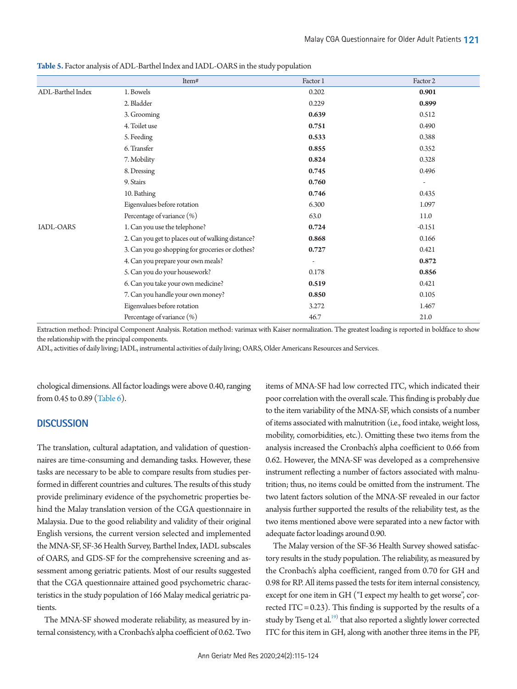|                   | Item#                                             | Factor 1                 | Factor 2                 |
|-------------------|---------------------------------------------------|--------------------------|--------------------------|
| ADL-Barthel Index | 1. Bowels                                         | 0.202                    | 0.901                    |
|                   | 2. Bladder                                        | 0.229                    | 0.899                    |
|                   | 3. Grooming                                       | 0.639                    | 0.512                    |
|                   | 4. Toilet use                                     | 0.751                    | 0.490                    |
|                   | 5. Feeding                                        | 0.533                    | 0.388                    |
|                   | 6. Transfer                                       | 0.855                    | 0.352                    |
|                   | 7. Mobility                                       | 0.824                    | 0.328                    |
|                   | 8. Dressing                                       | 0.745                    | 0.496                    |
|                   | 9. Stairs                                         | 0.760                    | $\overline{\phantom{a}}$ |
|                   | 10. Bathing                                       | 0.746                    | 0.435                    |
|                   | Eigenvalues before rotation                       | 6.300                    | 1.097                    |
|                   | Percentage of variance (%)                        | 63.0                     | 11.0                     |
| <b>IADL-OARS</b>  | 1. Can you use the telephone?                     | 0.724                    | $-0.151$                 |
|                   | 2. Can you get to places out of walking distance? | 0.868                    | 0.166                    |
|                   | 3. Can you go shopping for groceries or clothes?  | 0.727                    | 0.421                    |
|                   | 4. Can you prepare your own meals?                | $\overline{\phantom{a}}$ | 0.872                    |
|                   | 5. Can you do your housework?                     | 0.178                    | 0.856                    |
|                   | 6. Can you take your own medicine?                | 0.519                    | 0.421                    |
|                   | 7. Can you handle your own money?                 | 0.850                    | 0.105                    |
|                   | Eigenvalues before rotation                       | 3.272                    | 1.467                    |
|                   | Percentage of variance (%)                        | 46.7                     | 21.0                     |

<span id="page-6-0"></span>**Table 5.** Factor analysis of ADL-Barthel Index and IADL-OARS in the study population

Extraction method: Principal Component Analysis. Rotation method: varimax with Kaiser normalization. The greatest loading is reported in boldface to show the relationship with the principal components.

ADL, activities of daily living; IADL, instrumental activities of daily living; OARS, Older Americans Resources and Services.

chological dimensions. All factor loadings were above 0.40, ranging from 0.45 to 0.89 [\(Table 6\)](#page-7-0).

## **DISCUSSION**

The translation, cultural adaptation, and validation of questionnaires are time-consuming and demanding tasks. However, these tasks are necessary to be able to compare results from studies performed in different countries and cultures. The results of this study provide preliminary evidence of the psychometric properties behind the Malay translation version of the CGA questionnaire in Malaysia. Due to the good reliability and validity of their original English versions, the current version selected and implemented the MNA-SF, SF-36 Health Survey, Barthel Index, IADL subscales of OARS, and GDS-SF for the comprehensive screening and assessment among geriatric patients. Most of our results suggested that the CGA questionnaire attained good psychometric characteristics in the study population of 166 Malay medical geriatric patients.

The MNA-SF showed moderate reliability, as measured by internal consistency, with a Cronbach's alpha coefficient of 0.62. Two items of MNA-SF had low corrected ITC, which indicated their poor correlation with the overall scale. This finding is probably due to the item variability of the MNA-SF, which consists of a number of items associated with malnutrition (i.e., food intake, weight loss, mobility, comorbidities, etc.). Omitting these two items from the analysis increased the Cronbach's alpha coefficient to 0.66 from 0.62. However, the MNA-SF was developed as a comprehensive instrument reflecting a number of factors associated with malnutrition; thus, no items could be omitted from the instrument. The two latent factors solution of the MNA-SF revealed in our factor analysis further supported the results of the reliability test, as the two items mentioned above were separated into a new factor with adequate factor loadings around 0.90.

The Malay version of the SF-36 Health Survey showed satisfactory results in the study population. The reliability, as measured by the Cronbach's alpha coefficient, ranged from 0.70 for GH and 0.98 for RP. All items passed the tests for item internal consistency, except for one item in GH ("I expect my health to get worse", corrected ITC =  $0.23$ ). This finding is supported by the results of a study by Tseng et al.<sup>[19](#page-8-16))</sup> that also reported a slightly lower corrected ITC for this item in GH, along with another three items in the PF,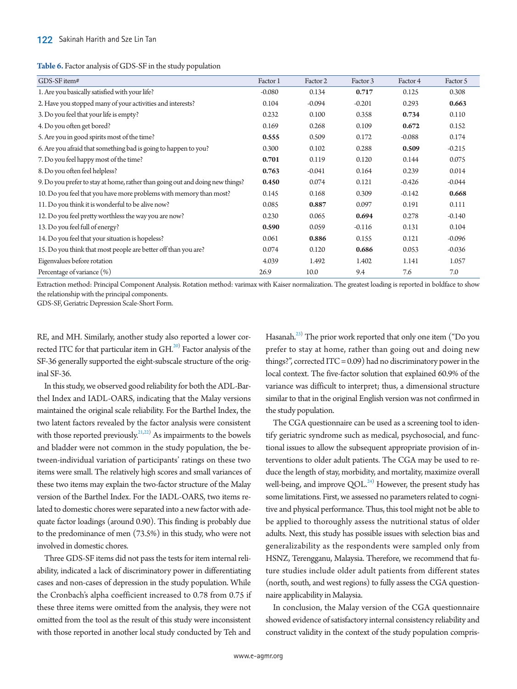<span id="page-7-0"></span>

|  |  | Table 6. Factor analysis of GDS-SF in the study population |
|--|--|------------------------------------------------------------|
|--|--|------------------------------------------------------------|

| GDS-SF item#                                                                  | Factor 1 | Factor 2 | Factor 3 | Factor 4 | Factor 5 |
|-------------------------------------------------------------------------------|----------|----------|----------|----------|----------|
| 1. Are you basically satisfied with your life?                                | $-0.080$ | 0.134    | 0.717    | 0.125    | 0.308    |
| 2. Have you stopped many of your activities and interests?                    | 0.104    | $-0.094$ | $-0.201$ | 0.293    | 0.663    |
| 3. Do you feel that your life is empty?                                       | 0.232    | 0.100    | 0.358    | 0.734    | 0.110    |
| 4. Do you often get bored?                                                    | 0.169    | 0.268    | 0.109    | 0.672    | 0.152    |
| 5. Are you in good spirits most of the time?                                  | 0.555    | 0.509    | 0.172    | $-0.088$ | 0.174    |
| 6. Are you afraid that something bad is going to happen to you?               | 0.300    | 0.102    | 0.288    | 0.509    | $-0.215$ |
| 7. Do you feel happy most of the time?                                        | 0.701    | 0.119    | 0.120    | 0.144    | 0.075    |
| 8. Do you often feel helpless?                                                | 0.763    | $-0.041$ | 0.164    | 0.239    | 0.014    |
| 9. Do you prefer to stay at home, rather than going out and doing new things? | 0.450    | 0.074    | 0.121    | $-0.426$ | $-0.044$ |
| 10. Do you feel that you have more problems with memory than most?            | 0.145    | 0.168    | 0.309    | $-0.142$ | 0.668    |
| 11. Do you think it is wonderful to be alive now?                             | 0.085    | 0.887    | 0.097    | 0.191    | 0.111    |
| 12. Do you feel pretty worthless the way you are now?                         | 0.230    | 0.065    | 0.694    | 0.278    | $-0.140$ |
| 13. Do you feel full of energy?                                               | 0.590    | 0.059    | $-0.116$ | 0.131    | 0.104    |
| 14. Do you feel that your situation is hopeless?                              | 0.061    | 0.886    | 0.155    | 0.121    | $-0.096$ |
| 15. Do you think that most people are better off than you are?                | 0.074    | 0.120    | 0.686    | 0.053    | $-0.036$ |
| Eigenvalues before rotation                                                   | 4.039    | 1.492    | 1.402    | 1.141    | 1.057    |
| Percentage of variance (%)                                                    | 26.9     | 10.0     | 9.4      | 7.6      | 7.0      |

Extraction method: Principal Component Analysis. Rotation method: varimax with Kaiser normalization. The greatest loading is reported in boldface to show the relationship with the principal components.

GDS-SF, Geriatric Depression Scale-Short Form.

RE, and MH. Similarly, another study also reported a lower corrected ITC for that particular item in  $\operatorname{GH}^{20)}$  $\operatorname{GH}^{20)}$  $\operatorname{GH}^{20)}$  Factor analysis of the SF-36 generally supported the eight-subscale structure of the original SF-36.

In this study, we observed good reliability for both the ADL-Barthel Index and IADL-OARS, indicating that the Malay versions maintained the original scale reliability. For the Barthel Index, the two latent factors revealed by the factor analysis were consistent with those reported previously.<sup>21,[22](#page-9-2))</sup> As impairments to the bowels and bladder were not common in the study population, the between-individual variation of participants' ratings on these two items were small. The relatively high scores and small variances of these two items may explain the two-factor structure of the Malay version of the Barthel Index. For the IADL-OARS, two items related to domestic chores were separated into a new factor with adequate factor loadings (around 0.90). This finding is probably due to the predominance of men (73.5%) in this study, who were not involved in domestic chores.

Three GDS-SF items did not pass the tests for item internal reliability, indicated a lack of discriminatory power in differentiating cases and non-cases of depression in the study population. While the Cronbach's alpha coefficient increased to 0.78 from 0.75 if these three items were omitted from the analysis, they were not omitted from the tool as the result of this study were inconsistent with those reported in another local study conducted by Teh and

Hasanah.<sup>23)</sup> The prior work reported that only one item ("Do you prefer to stay at home, rather than going out and doing new things?", corrected ITC = 0.09) had no discriminatory power in the local context. The five-factor solution that explained 60.9% of the variance was difficult to interpret; thus, a dimensional structure similar to that in the original English version was not confirmed in the study population.

The CGA questionnaire can be used as a screening tool to identify geriatric syndrome such as medical, psychosocial, and functional issues to allow the subsequent appropriate provision of interventions to older adult patients. The CGA may be used to reduce the length of stay, morbidity, and mortality, maximize overall well-being, and improve  $\text{QOL}.^{24)}$  However, the present study has some limitations. First, we assessed no parameters related to cognitive and physical performance. Thus, this tool might not be able to be applied to thoroughly assess the nutritional status of older adults. Next, this study has possible issues with selection bias and generalizability as the respondents were sampled only from HSNZ, Terengganu, Malaysia. Therefore, we recommend that future studies include older adult patients from different states (north, south, and west regions) to fully assess the CGA questionnaire applicability in Malaysia.

In conclusion, the Malay version of the CGA questionnaire showed evidence of satisfactory internal consistency reliability and construct validity in the context of the study population compris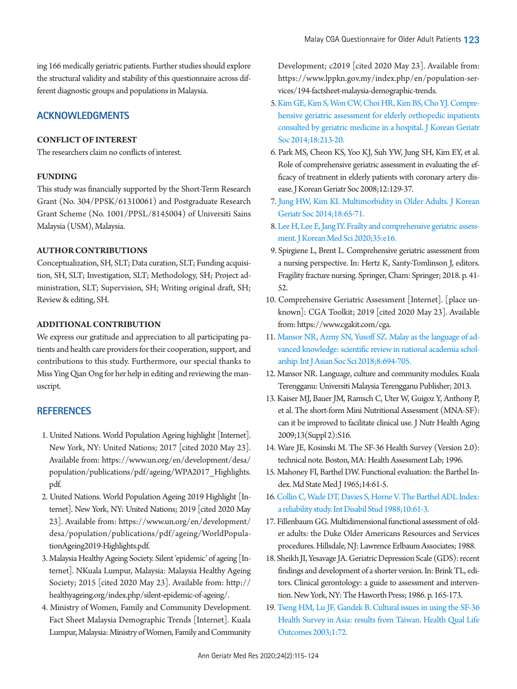ing 166 medically geriatric patients. Further studies should explore the structural validity and stability of this questionnaire across different diagnostic groups and populations in Malaysia.

# **ACKNOWLEDGMENTS**

## **CONFLICT OF INTEREST**

The researchers claim no conflicts of interest.

## **FUNDING**

This study was financially supported by the Short-Term Research Grant (No. 304/PPSK/61310061) and Postgraduate Research Grant Scheme (No. 1001/PPSL/8145004) of Universiti Sains Malaysia (USM), Malaysia.

## **AUTHOR CONTRIBUTIONS**

Conceptualization, SH, SLT; Data curation, SLT; Funding acquisition, SH, SLT; Investigation, SLT; Methodology, SH; Project administration, SLT; Supervision, SH; Writing original draft, SH; Review & editing, SH.

## **ADDITIONAL CONTRIBUTION**

We express our gratitude and appreciation to all participating patients and health care providers for their cooperation, support, and contributions to this study. Furthermore, our special thanks to Miss Ying Qian Ong for her help in editing and reviewing the manuscript.

# **REFERENCES**

- <span id="page-8-0"></span>1. United Nations. World Population Ageing highlight [Internet]. New York, NY: United Nations; 2017 [cited 2020 May 23]. Available from: https:[//www.un.org/en/development/desa/](https://www.un.org/en/development/desa/population/publications/pdf/ageing/WPA2017_Highlights.pdf) [population/publications/pdf/ageing/](https://www.un.org/en/development/desa/population/publications/pdf/ageing/WPA2017_Highlights.pdf)WPA2017\_Highlights. pdf.
- <span id="page-8-1"></span>2. United Nations. World Population Ageing 2019 Highlight [Internet]. New York, NY: United Nations; 2019 [cited 2020 May 23]. Available from: https:[//www.un.org/en/development/](https://www.un.org/en/development/desa/population/publications/pdf/ageing/WorldPopulationAgeing2019-Highlights.pdf) [desa/population/publications/pdf/ageing/W](https://www.un.org/en/development/desa/population/publications/pdf/ageing/WorldPopulationAgeing2019-Highlights.pdf)orldPopulationAgeing2019-Highlights.pdf.
- <span id="page-8-2"></span>3. Malaysia Healthy Ageing Society. Silent 'epidemic' of ageing [Internet]. NKuala Lumpur, Malaysia: Malaysia Healthy Ageing Society; 2015 [cited 2020 May 23]. Available from: [http://](http://healthyageing.org/index.php/silent-epidemic-of-ageing/) [healthyageing.org/index.php/silent-epidemic-of-ageing/](http://healthyageing.org/index.php/silent-epidemic-of-ageing/).
- <span id="page-8-3"></span>4. Ministry of Women, Family and Community Development. Fact Sheet Malaysia Demographic Trends [Internet]. Kuala Lumpur, Malaysia: Ministry of Women, Family and Community

Development; c2019 [cited 2020 May 23]. Available from: https:[//www.lppkn.gov.my/index.php/en/population-ser](www.lppkn.gov.my/index.php/en/population-services/194-factsheet-malaysia-demographic-trends.)[vices/194-factsheet-malaysia-demographic-trends](www.lppkn.gov.my/index.php/en/population-services/194-factsheet-malaysia-demographic-trends.).

- <span id="page-8-4"></span>[5. Kim GE, Kim S, Won CW, Choi HR, Kim BS, Cho YJ. Compre](https://doi.org/10.4235/jkgs.2014.18.4.213)[hensive geriatric assessment for elderly orthopedic inpatients](https://doi.org/10.4235/jkgs.2014.18.4.213)  [consulted by geriatric medicine in a hospital. J Korean Geriatr](https://doi.org/10.4235/jkgs.2014.18.4.213)  [Soc 2014;18:213-20.](https://doi.org/10.4235/jkgs.2014.18.4.213)
- <span id="page-8-5"></span>6. Park MS, Cheon KS, Yoo KJ, Suh YW, Jung SH, Kim EY, et al. Role of comprehensive geriatric assessment in evaluating the efficacy of treatment in elderly patients with coronary artery disease. J Korean Geriatr Soc 2008;12:129-37.
- <span id="page-8-6"></span>7[. Jung HW, Kim KI. Multimorbidity in Older Adults. J Korean](https://doi.org/10.4235/jkgs.2014.18.2.65)  [Geriatr Soc 2014;18:65-71.](https://doi.org/10.4235/jkgs.2014.18.2.65)
- <span id="page-8-7"></span>[8. Lee H, Lee E, Jang IY. Frailty and comprehensive geriatric assess](https://doi.org/10.3346/jkms.2020.35.e16)[ment. J Korean Med Sci 2020;35:e16.](https://doi.org/10.3346/jkms.2020.35.e16)
- 9. Spirgiene L, Brent L. Comprehensive geriatric assessment from a nursing perspective. In: Hertz K, Santy-Tomlinson J, editors. Fragility fracture nursing. Springer, Cham: Springer; 2018. p. 41- 52.
- <span id="page-8-8"></span>10. Comprehensive Geriatric Assessment [Internet]. [place unknown]: CGA Toolkit; 2019 [cited 2020 May 23]. Available from: https:[//www.cgakit.com/cga.](www.cgakit.com/cga.)
- <span id="page-8-9"></span>11[. Mansor NR, Azmy SN, Yusoff SZ. Malay as the language of ad](https://doi.org/10.18488/journal.1.2018.89.694.705)[vanced knowledge: scientific review in national academia schol](https://doi.org/10.18488/journal.1.2018.89.694.705)[arship. Int J Asian Soc Sci 2018;8:694-705.](https://doi.org/10.18488/journal.1.2018.89.694.705)
- <span id="page-8-10"></span>12. Mansor NR. Language, culture and community modules. Kuala Terengganu: Universiti Malaysia Terengganu Publisher; 2013.
- <span id="page-8-11"></span>13. Kaiser MJ, Bauer JM, Ramsch C, Uter W, Guigoz Y, Anthony P, et al. The short-form Mini Nutritional Assessment (MNA-SF): can it be improved to facilitate clinical use. J Nutr Health Aging 2009;13(Suppl 2):S16.
- <span id="page-8-12"></span>14. Ware JE, Kosinski M. The SF-36 Health Survey (Version 2.0): technical note. Boston, MA: Health Assessment Lab; 1996.
- <span id="page-8-13"></span>15. Mahoney FI, Barthel DW. Functional evaluation: the Barthel Index. Md State Med J 1965;14:61-5.
- 16. [Collin C, Wade DT, Davies S, Horne V. The Barthel ADL Index:](https://doi.org/10.3109/09638288809164103)  [a reliability study. Int Disabil Stud 1988;10:61-3.](https://doi.org/10.3109/09638288809164103)
- <span id="page-8-14"></span>17. Fillenbaum GG. Multidimensional functional assessment of older adults: the Duke Older Americans Resources and Services procedures. Hillsdale, NJ: Lawrence Erlbaum Associates; 1988.
- <span id="page-8-15"></span>18. Sheikh JI, Yesavage JA. Geriatric Depression Scale (GDS): recent findings and development of a shorter version. In: Brink TL, editors. Clinical gerontology: a guide to assessment and intervention. New York, NY: The Haworth Press; 1986. p. 165-173.
- <span id="page-8-16"></span>19. [Tseng HM, Lu JF, Gandek B. Cultural issues in using the SF-36](https://doi.org/10.1186/1477-7525-1-72)  [Health Survey in Asia: results from Taiwan. Health Qual Life](https://doi.org/10.1186/1477-7525-1-72)  [Outcomes 2003;1:72.](https://doi.org/10.1186/1477-7525-1-72)